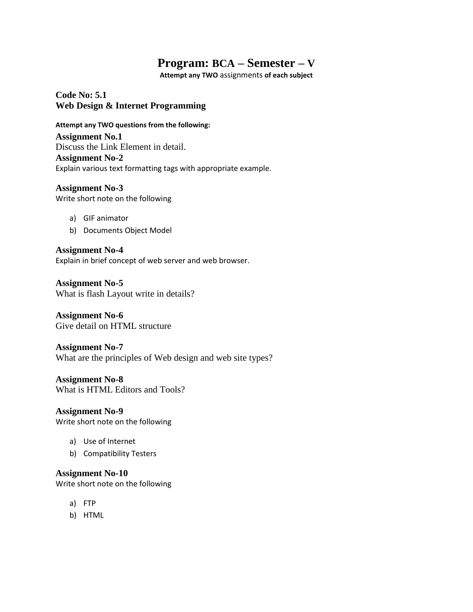# **Program: BCA – Semester – V**

**Attempt any TWO** assignments **of each subject**

**Code No: 5.1 Web Design & Internet Programming**

**Attempt any TWO questions from the following:**

**Assignment No.1** Discuss the Link Element in detail. **Assignment No-2** Explain various text formatting tags with appropriate example.

**Assignment No-3** Write short note on the following

- a) GIF animator
- b) Documents Object Model

**Assignment No-4** Explain in brief concept of web server and web browser.

**Assignment No-5** What is flash Layout write in details?

**Assignment No-6** Give detail on HTML structure

**Assignment No-7** What are the principles of Web design and web site types?

**Assignment No-8** What is HTML Editors and Tools?

**Assignment No-9** Write short note on the following

- a) Use of Internet
- b) Compatibility Testers

**Assignment No-10**

Write short note on the following

- a) FTP
- b) HTML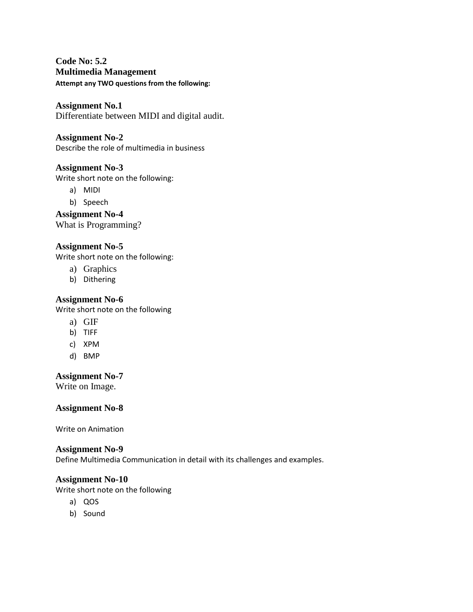# **Code No: 5.2 Multimedia Management Attempt any TWO questions from the following:**

**Assignment No.1** Differentiate between MIDI and digital audit.

# **Assignment No-2**

Describe the role of multimedia in business

## **Assignment No-3**

Write short note on the following:

- a) MIDI
- b) Speech

**Assignment No-4** What is Programming?

#### **Assignment No-5**

Write short note on the following:

- a) Graphics
- b) Dithering

#### **Assignment No-6**

Write short note on the following

- a) GIF
- b) TIFF
- c) XPM
- d) BMP

#### **Assignment No-7**

Write on Image.

#### **Assignment No-8**

Write on Animation

#### **Assignment No-9**

Define Multimedia Communication in detail with its challenges and examples.

#### **Assignment No-10**

Write short note on the following

- a) QOS
- b) Sound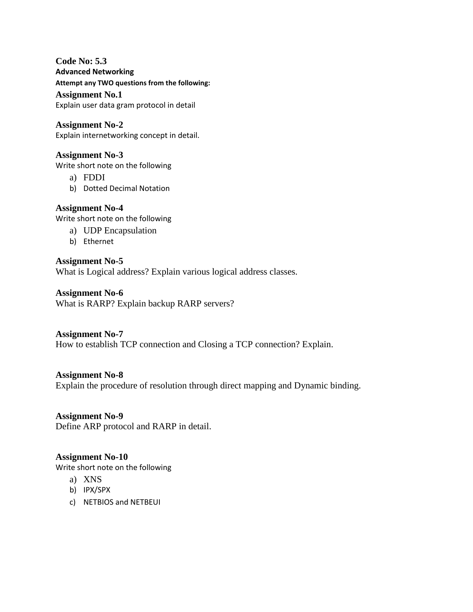# **Code No: 5.3**

**Advanced Networking**

**Attempt any TWO questions from the following:**

#### **Assignment No.1**

Explain user data gram protocol in detail

#### **Assignment No-2**

Explain internetworking concept in detail.

## **Assignment No-3**

Write short note on the following

- a) FDDI
- b) Dotted Decimal Notation

# **Assignment No-4**

Write short note on the following

- a) UDP Encapsulation
- b) Ethernet

## **Assignment No-5**

What is Logical address? Explain various logical address classes.

**Assignment No-6** What is RARP? Explain backup RARP servers?

#### **Assignment No-7**

How to establish TCP connection and Closing a TCP connection? Explain.

#### **Assignment No-8**

Explain the procedure of resolution through direct mapping and Dynamic binding.

**Assignment No-9** Define ARP protocol and RARP in detail.

#### **Assignment No-10**

Write short note on the following

- a) XNS
- b) IPX/SPX
- c) NETBIOS and NETBEUI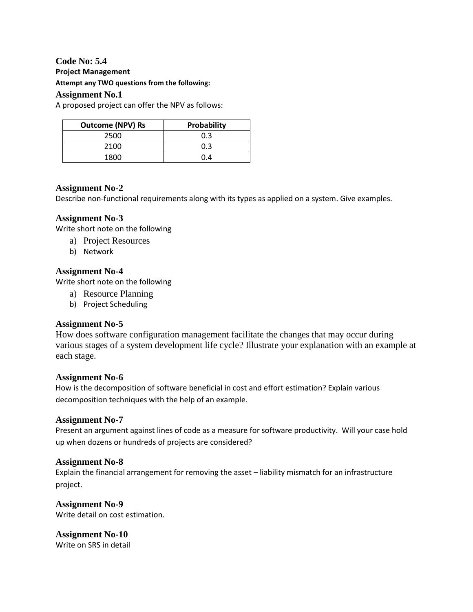#### **Code No: 5.4 Project Management**

**Attempt any TWO questions from the following:**

#### **Assignment No.1**

A proposed project can offer the NPV as follows:

| <b>Outcome (NPV) Rs</b> | Probability |
|-------------------------|-------------|
| 2500                    | 0.3         |
| 2100                    | 0.3         |
| 1800                    | በ 4         |

## **Assignment No-2**

Describe non-functional requirements along with its types as applied on a system. Give examples.

## **Assignment No-3**

Write short note on the following

- a) Project Resources
- b) Network

#### **Assignment No-4**

Write short note on the following

- a) Resource Planning
- b) Project Scheduling

#### **Assignment No-5**

How does software configuration management facilitate the changes that may occur during various stages of a system development life cycle? Illustrate your explanation with an example at each stage.

#### **Assignment No-6**

How is the decomposition of software beneficial in cost and effort estimation? Explain various decomposition techniques with the help of an example.

#### **Assignment No-7**

Present an argument against lines of code as a measure for software productivity. Will your case hold up when dozens or hundreds of projects are considered?

#### **Assignment No-8**

Explain the financial arrangement for removing the asset – liability mismatch for an infrastructure project.

**Assignment No-9** Write detail on cost estimation.

**Assignment No-10** Write on SRS in detail